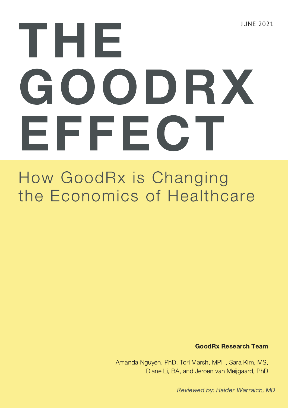# JUNE 2021 THE GOODRX EFFECT

### How GoodRx is Changing the Economics of Healthcare

GoodRx Research Team

Amanda Nguyen, PhD, Tori Marsh, MPH, Sara Kim, MS, Diane Li, BA, and Jeroen van Meijgaard, PhD

Reviewed by: Haider Warraich, MD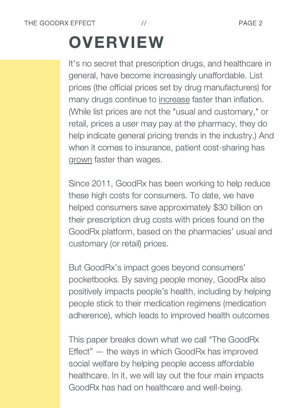# **OVERVIEW**

It's no secret that prescription drugs, and healthcare in general, have become increasingly unaffordable. List prices (the official prices set by drug manufacturers) for many drugs continue to [increase](https://www.kff.org/medicare/issue-brief/price-increases-continue-to-outpace-inflation-for-many-medicare-part-d-drugs/) faster than [inflation.](https://www.kff.org/medicare/issue-brief/price-increases-continue-to-outpace-inflation-for-many-medicare-part-d-drugs/) (While list prices are not the "usual and customary," or retail, prices a user may pay at the pharmacy, they do help indicate general pricing trends in the industry.) And when it comes to insurance, patient [cost-sharing](https://www.healthsystemtracker.org/brief/increases-in-cost-sharing-payments-have-far-outpaced-wage-growth/) has [grown](https://www.healthsystemtracker.org/brief/increases-in-cost-sharing-payments-have-far-outpaced-wage-growth/) faster than wages.

Since 2011, GoodRx has been working to help reduce these high costs for consumers. To date, we have helped consumers save approximately \$30 billion on their prescription drug costs with prices found on the GoodRx platform, based on the pharmacies' usual and customary (or retail) prices.

But GoodRx's impact goes beyond consumers' pocketbooks. By saving people money, GoodRx also positively impacts people's health, including by helping people stick to their medication regimens (medication adherence), which leads to improved health outcomes

This paper breaks down what we call "The GoodRx Effect" — the ways in which GoodRx has improved social welfare by helping people access affordable healthcare. In it, we will lay out the four main impacts GoodRx has had on healthcare and well-being.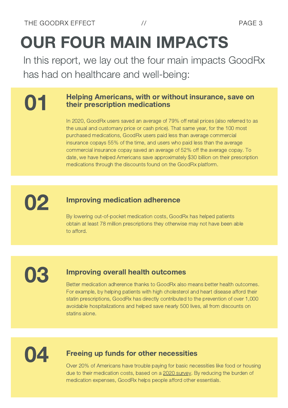# OUR FOUR MAIN IMPACTS

In this report, we lay out the four main impacts GoodRx has had on healthcare and well-being:

### **COLE** Helping Americans, with or without insurance, save on their prescription medications

In 2020, GoodRx users saved an average of 79% off retail prices (also referred to as the usual and customary price or cash price). That same year, for the 100 most purchased medications, GoodRx users paid less than average commercial insurance copays 55% of the time, and users who paid less than the average commercial insurance copay saved an average of 52% off the average copay. To date, we have helped Americans save approximately \$30 billion on their prescription medications through the discounts found on the GoodRx platform.



### **OP** Improving medication adherence

By lowering out-of-pocket medication costs, GoodRx has helped patients obtain at least 78 million prescriptions they otherwise may not have been able to afford.

### **O3** Improving overall health outcomes<br>Better medication adherence thanks to GoodRx also means better health outcomes.

For example, by helping patients with high cholesterol and heart disease afford their statin prescriptions, GoodRx has directly contributed to the prevention of over 1,000 avoidable hospitalizations and helped save nearly 500 lives, all from discounts on statins alone.

#### Freeing up funds for other necessities

Over 20% of Americans have trouble paying for basic necessities like food or housing due to their medication costs, based on a 2020 [survey.](https://www.goodrx.com/blog/survey-covid-19-effects-on-medication-affordability/) By reducing the burden of medication expenses, GoodRx helps people afford other essentials.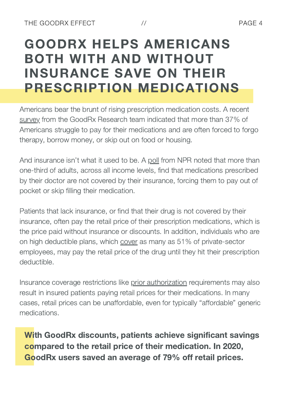### GOODRX HELPS AMERICANS BOTH WITH AND WITHOUT INSURANCE SAVE ON THEIR PRESCRIPTION MEDICATIONS

Americans bear the brunt of rising prescription medication costs. A recent [survey](https://www.goodrx.com/blog/survey-covid-19-effects-on-medication-affordability/) from the GoodRx Research team indicated that more than 37% of Americans struggle to pay for their medications and are often forced to forgo therapy, borrow money, or skip out on food or housing.

And insurance isn't what it used to be. A [poll](https://www.npr.org/sections/health-shots/2020/01/27/799019013/when-insurance-wont-cover-drugs-americans-make-tough-choices-about-their-health) from NPR noted that more than one-third of adults, across all income levels, find that medications prescribed by their doctor are not covered by their insurance, forcing them to pay out of pocket or skip filling their medication.

Patients that lack insurance, or find that their drug is not covered by their insurance, often pay the retail price of their prescription medications, which is the price paid without insurance or discounts. In addition, individuals who are on high deductible plans, which [cover](http://statehealthcompare.shadac.org/table/172/percent-of-privatesector-employees-enrolled-in-highdeductible-health-insurance-plans-by-total#1/a/27/205) as many as 51% of private-sector [employees,](http://statehealthcompare.shadac.org/table/172/percent-of-privatesector-employees-enrolled-in-highdeductible-health-insurance-plans-by-total#1/a/27/205) may pay the retail price of the drug until they hit their prescription deductible.

Insurance coverage restrictions like prior [authorization](https://www.healthcare.gov/glossary/prior-authorization/) requirements may also result in insured patients paying retail prices for their medications. In many cases, retail prices can be unaffordable, even for typically "affordable" generic medications.

With GoodRx discounts, patients achieve significant savings compared to the retail price of their medication. In 2020, GoodRx users saved an average of 79% off retail prices.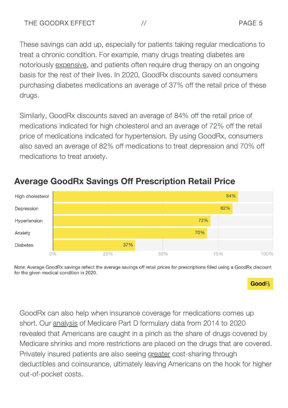These savings can add up, especially for patients taking regular medications to treat a chronic condition. For example, many drugs treating diabetes are notoriously [expensive](https://www.ncbi.nlm.nih.gov/books/NBK425702/table/type2-diab-mgmt-pharm.classdrugm/), and patients often require drug therapy on an ongoing basis for the rest of their lives. In 2020, GoodRx discounts saved consumers purchasing diabetes medications an average of 37% off the retail price of these drugs.

Similarly, GoodRx discounts saved an average of 84% off the retail price of medications indicated for high cholesterol and an average of 72% off the retail price of medications indicated for hypertension. By using GoodRx, consumers also saved an average of 82% off medications to treat depression and 70% off medications to treat anxiety.



### **Average GoodRx Savings Off Prescription Retail Price**

Note: Average GoodRx savings reflect the average savings off retail prices for prescriptions filled using a GoodRx discount for the given medical condition in 2020.

#### $\mathsf{GoodR}$

GoodRx can also help when insurance coverage for medications comes up short. Our [analysis](https://www.goodrx.com/blog/the-big-pinch-fewer-prescription-drugs-covered-more-insurance-restrictions/) of Medicare Part D formulary data from 2014 to 2020 revealed that Americans are caught in a pinch as the share of drugs covered by Medicare shrinks and more restrictions are placed on the drugs that are covered. Privately insured patients are also seeing [greater](https://www.healthsystemtracker.org/brief/increases-in-cost-sharing-payments-have-far-outpaced-wage-growth/) cost-sharing through deductibles and [coinsurance,](https://www.healthsystemtracker.org/brief/increases-in-cost-sharing-payments-have-far-outpaced-wage-growth/) ultimately leaving Americans on the hook for higher out-of-pocket costs.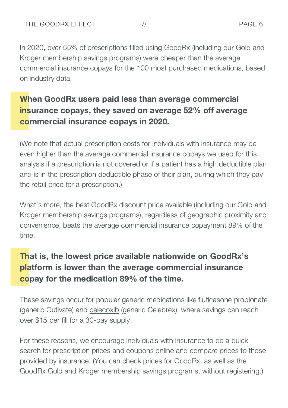In 2020, over 55% of prescriptions filled using GoodRx (including our Gold and Kroger membership savings programs) were cheaper than the average commercial insurance copays for the 100 most purchased medications, based on industry data.

### When GoodRx users paid less than average commercial insurance copays, they saved on average 52% off average commercial insurance copays in 2020.

(We note that actual prescription costs for individuals with insurance may be even higher than the average commercial insurance copays we used for this analysis if a prescription is not covered or if a patient has a high deductible plan and is in the prescription deductible phase of their plan, during which they pay the retail price for a prescription.)

What's more, the best GoodRx discount price available (including our Gold and Kroger membership savings programs), regardless of geographic proximity and convenience, beats the average commercial insurance copayment 89% of the time.

### That is, the lowest price available nationwide on GoodRx's platform is lower than the average commercial insurance copay for the medication 89% of the time.

These savings occur for popular generic medications like fluticasone [propionate](https://www.goodrx.com/fluticasone-propionate) (generic Cutivate) and [celecoxib](https://www.goodrx.com/celecoxib) (generic Celebrex), where savings can reach over \$15 per fill for a 30-day supply.

For these reasons, we encourage individuals with insurance to do a quick search for prescription prices and coupons online and compare prices to those provided by insurance. (You can check prices for GoodRx, as well as the GoodRx Gold and Kroger membership savings programs, without registering.)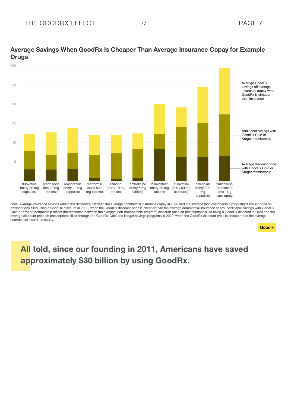

#### Average Savings When GoodRx Is Cheaper Than Average Insurance Copay for Example **Drugs**

Note: Average insurance savings reflect the difference between the average commercial insurance copay in 2020 and the average (non-membership program) discount price on prescriptions filled using a GoodRx discount in 2020, when the GoodRx discount price is cheaper than the average commercial insurance copay. Additional savings with GoodRx Gold or Kroger Membership reflect the difference between the average (non-membership program) discount price on prescriptions filled using a GoodRx discount in 2020 and the average discount price on prescriptions filled through the GoodRx Gold and Kroger savings programs in 2020, when the GoodRx discount price is cheaper than the average commercial insurance copay.

**Good**<sub>R</sub>

### All told, since our founding in 2011, Americans have saved approximately \$30 billion by using GoodRx.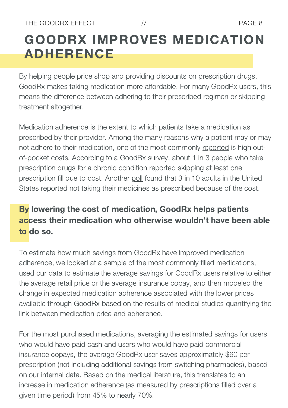### GOODRX IMPROVES MEDICATION ADHERENCE

By helping people price shop and providing discounts on prescription drugs, GoodRx makes taking medication more affordable. For many GoodRx users, this means the difference between adhering to their prescribed regimen or skipping treatment altogether.

Medication adherence is the extent to which patients take a medication as prescribed by their provider. Among the many reasons why a patient may or may not adhere to their medication, one of the most [commonly](https://www.ncbi.nlm.nih.gov/pmc/articles/PMC3934668/) [reported](https://www.ncbi.nlm.nih.gov/pmc/articles/PMC3934668/) is high outof-pocket costs. According to a [GoodRx](https://www.goodrx.com/blog/health-insurance-aside-americans-still-struggle-to-pay-for-their-medications/) [survey,](https://www.goodrx.com/blog/health-insurance-aside-americans-still-struggle-to-pay-for-their-medications/) about 1 in 3 people who take prescription drugs for a chronic condition reported skipping at least one prescription fill due to cost. [Another](https://www.kff.org/health-costs/issue-brief/data-note-americans-challenges-health-care-costs/) [poll](https://www.kff.org/health-costs/issue-brief/data-note-americans-challenges-health-care-costs/) found that 3 in 10 adults in the United States reported not taking their medicines as prescribed because of the cost.

### By lowering the cost of medication, GoodRx helps patients access their medication who otherwise wouldn't have been able to do so.

To estimate how much savings from GoodRx have improved medication adherence, we looked at a sample of the most commonly filled medications, used our data to estimate the average savings for GoodRx users relative to either the average retail price or the average insurance copay, and then modeled the change in expected medication adherence associated with the lower prices available through GoodRx based on the results of medical studies quantifying the link between medication price and adherence.

For the most purchased medications, averaging the estimated savings for users who would have paid cash and users who would have paid commercial insurance copays, the average GoodRx user saves approximately \$60 per prescription (not including additional savings from switching pharmacies), based on our internal data. Based on the [medical](https://www.ncbi.nlm.nih.gov/pmc/articles/PMC3278192/) [literature](https://www.ncbi.nlm.nih.gov/pmc/articles/PMC3278192/), this translates to an increase in medication adherence (as measured by prescriptions filled over a given time period) from 45% to nearly 70%.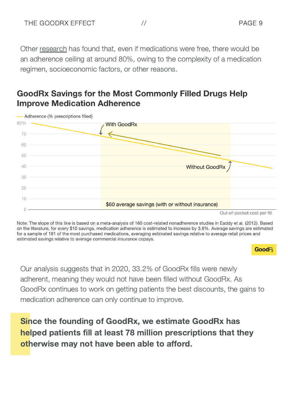Other [research](https://www.ncbi.nlm.nih.gov/pmc/articles/PMC4874730/) has found that, even if medications were free, there would be an adherence ceiling at around 80%, owing to the complexity of a medication regimen, socioeconomic factors, or other reasons.

### **GoodRx Savings for the Most Commonly Filled Drugs Help Improve Medication Adherence**



Note: The slope of this line is based on a meta-analysis of 160 cost-related nonadherence studies in Eaddy et al. (2012). Based on the literature, for every \$10 savings, medication adherence is estimated to increase by 3.8%. Average savings are estimated for a sample of 181 of the most purchased medications, averaging estimated savings relative to average retail prices and estimated savings relative to average commercial insurance copays.

#### GoodR

Our analysis suggests that in 2020, 33.2% of GoodRx fills were newly adherent, meaning they would not have been filled without GoodRx. As GoodRx continues to work on getting patients the best discounts, the gains to medication adherence can only continue to improve.

Since the founding of GoodRx, we estimate GoodRx has helped patients fill at least 78 million prescriptions that they otherwise may not have been able to afford.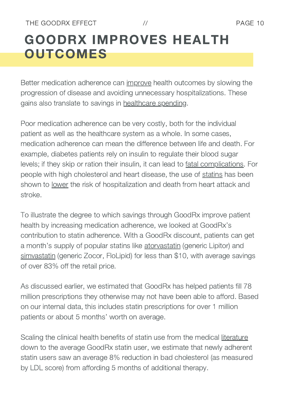### GOODRX IMPROVES HEALTH **OUTCOMES**

Better medication adherence can [improve](https://www.healthaffairs.org/doi/full/10.1377/hlthaff.2009.1087) health [outcomes](https://www.healthaffairs.org/doi/full/10.1377/hlthaff.2009.1087) by slowing the progression of disease and avoiding unnecessary hospitalizations. These gains also translate to savings in [healthcare](https://www.ncbi.nlm.nih.gov/pmc/articles/PMC5780689/pdf/bmjopen-2017-016982.pdf) spending.

Poor medication adherence can be very costly, both for the individual patient as well as the healthcare system as a whole. In some cases, medication adherence can mean the difference between life and death. For example, diabetes patients rely on insulin to regulate their blood sugar levels; if they skip or ration their insulin, it can lead to fatal [complications](https://www.npr.org/sections/health-shots/2018/09/01/641615877/insulins-high-cost-leads-to-lethal-rationing). For people with high cholesterol and heart disease, the use of [statins](https://www.goodrx.com/statins) has been shown to [lower](https://www.healthaffairs.org/doi/full/10.1377/hlthaff.2011.1120) the [risk](https://www.healthaffairs.org/doi/full/10.1377/hlthaff.2011.1120) of hospitalization and death from heart attack and stroke.

To illustrate the degree to which savings through GoodRx improve patient health by increasing medication adherence, we looked at GoodRx's contribution to statin adherence. With a GoodRx discount, patients can get a month's supply of popular statins like [atorvastatin](https://www.goodrx.com/atorvastatin) (generic Lipitor) and [simvastatin](https://www.goodrx.com/simvastatin) (generic Zocor, FloLipid) for less than \$10, with average savings of over 83% off the retail price.

As discussed earlier, we estimated that GoodRx has helped patients fill 78 million prescriptions they otherwise may not have been able to afford. Based on our internal data, this includes statin prescriptions for over 1 million patients or about 5 months' worth on average.

Scaling the clinical health benefits of statin use from the [medical](https://www.healthaffairs.org/doi/full/10.1377/hlthaff.2011.1120) [literature](https://www.healthaffairs.org/doi/full/10.1377/hlthaff.2011.1120) down to the average GoodRx statin user, we estimate that newly adherent statin users saw an average 8% reduction in bad cholesterol (as measured by LDL score) from affording 5 months of additional therapy.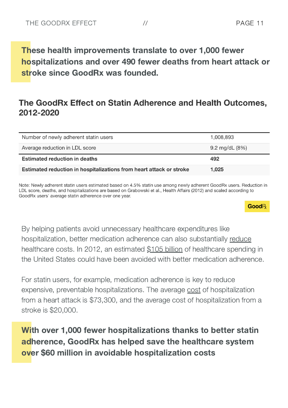These health improvements translate to over 1,000 fewer hospitalizations and over 490 fewer deaths from heart attack or stroke since GoodRx was founded.

### The GoodRx Effect on Statin Adherence and Health Outcomes, 2012-2020

| Number of newly adherent statin users | 1,008,893        |
|---------------------------------------|------------------|
| Average reduction in LDL score        | 9.2 mg/dL $(8%)$ |
|                                       |                  |
| <b>Estimated reduction in deaths</b>  | 492              |

Note: Newly adherent statin users estimated based on 4.5% statin use among newly adherent GoodRx users. Reduction in LDL score, deaths, and hospitalizations are based on Grabowski et al., Health Affairs (2012) and scaled according to GoodRx users' average statin adherence over one year.

 $\mathsf{GoodR}$ 

By helping patients avoid unnecessary healthcare expenditures like hospitalization, better medication adherence can also substantially [reduce](https://www.ncbi.nlm.nih.gov/pmc/articles/PMC3934668/) [healthcare](https://www.ncbi.nlm.nih.gov/pmc/articles/PMC3934668/) costs. In 2012, an estimated \$105 [billion](http://offers.premierinc.com/rs/381-NBB-525/images/Avoidable_Costs_in%20_US_Healthcare-IHII_AvoidableCosts_2013%5B1%5D.pdf) of healthcare spending in the United States could have been avoided with better medication adherence.

For statin users, for example, medication adherence is key to reduce expensive, preventable hospitalizations. The [average](https://link.springer.com/article/10.2165/11584620-000000000-00000) [cost](https://link.springer.com/article/10.2165/11584620-000000000-00000) of [hospitalization](https://link.springer.com/article/10.2165/11584620-000000000-00000) from a heart attack is \$73,300, and the average cost of hospitalization from a stroke is \$20,000.

With over 1,000 fewer hospitalizations thanks to better statin adherence, GoodRx has helped save the healthcare system over \$60 million in avoidable hospitalization costs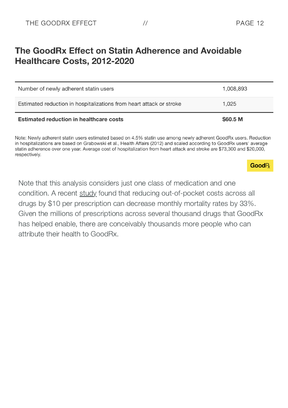### The GoodRx Effect on Statin Adherence and Avoidable Healthcare Costs, 2012-2020

| Number of newly adherent statin users                               | 1,008,893 |
|---------------------------------------------------------------------|-----------|
| Estimated reduction in hospitalizations from heart attack or stroke | 1.025     |
| <b>Estimated reduction in healthcare costs</b>                      | \$60.5 M  |

Note: Newly adherent statin users estimated based on 4.5% statin use among newly adherent GoodRx users. Reduction in hospitalizations are based on Grabowski et al., Health Affairs (2012) and scaled according to GoodRx users' average statin adherence over one year. Average cost of hospitalization from heart attack and stroke are \$73,300 and \$20,000, respectively.

#### GoodR

Note that this analysis considers just one class of medication and one condition. A [recent](https://www.nber.org/system/files/working_papers/w28439/w28439.pdf) [study](https://www.nber.org/system/files/working_papers/w28439/w28439.pdf) found that reducing out-of-pocket costs across all drugs by \$10 per prescription can decrease monthly mortality rates by 33%. Given the millions of prescriptions across several thousand drugs that GoodRx has helped enable, there are conceivably thousands more people who can attribute their health to GoodRx.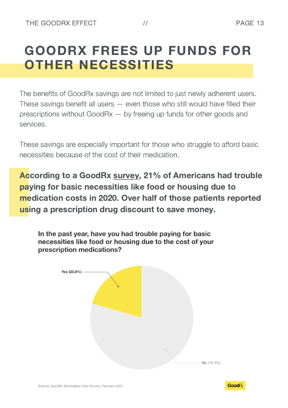### GOODRX FREES UP FUNDS FOR OTHER NECESSITIES

The benefits of GoodRx savings are not limited to just newly adherent users. These savings benefit all users — even those who still would have filled their prescriptions without GoodRx — by freeing up funds for other goods and services.

These savings are especially important for those who struggle to afford basic necessities because of the cost of their medication.

According to a [GoodRx](https://www.goodrx.com/blog/survey-covid-19-effects-on-medication-affordability/) [survey,](https://www.goodrx.com/blog/survey-covid-19-effects-on-medication-affordability/) 21% of Americans had trouble paying for basic necessities like food or housing due to medication costs in 2020. Over half of those patients reported using a prescription drug discount to save money.

In the past year, have you had trouble paying for basic necessities like food or housing due to the cost of your prescription medications?



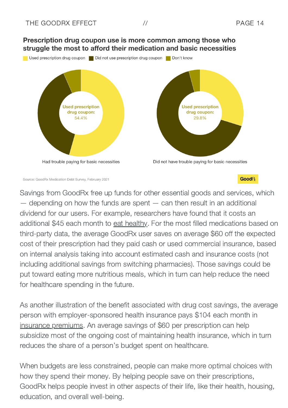



Source: GoodRx Medication Debt Survey, February 2021

Savings from GoodRx free up funds for other essential goods and services, which  $-$  depending on how the funds are spent  $-$  can then result in an additional dividend for our users. For example, researchers have found that it costs an additional \$45 each month to eat [healthy.](https://bmjopen.bmj.com/content/3/12/e004277.short) For the most filled medications based on third-party data, the average GoodRx user saves on average \$60 off the expected cost of their prescription had they paid cash or used commercial insurance, based on internal analysis taking into account estimated cash and insurance costs (not including additional savings from switching pharmacies). Those savings could be put toward eating more nutritious meals, which in turn can help reduce the need for healthcare spending in the future.

As another illustration of the benefit associated with drug cost savings, the average person with employer-sponsored health insurance pays \$104 each month in insurance [premiums.](https://www.kff.org/report-section/ehbs-2020-section-6-worker-and-employer-contributions-for-premiums/) An average savings of \$60 per prescription can help subsidize most of the ongoing cost of maintaining health insurance, which in turn reduces the share of a person's budget spent on healthcare.

When budgets are less constrained, people can make more optimal choices with how they spend their money. By helping people save on their prescriptions, GoodRx helps people invest in other aspects of their life, like their health, housing, education, and overall well-being.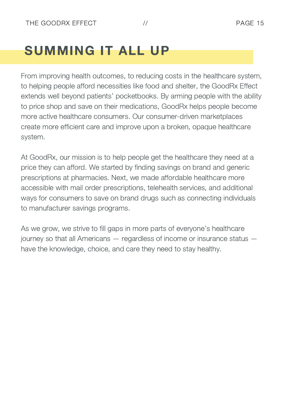### SUMMING IT ALL UP

From improving health outcomes, to reducing costs in the healthcare system, to helping people afford necessities like food and shelter, the GoodRx Effect extends well beyond patients' pocketbooks. By arming people with the ability to price shop and save on their medications, GoodRx helps people become more active healthcare consumers. Our consumer-driven marketplaces create more efficient care and improve upon a broken, opaque healthcare system.

At GoodRx, our mission is to help people get the healthcare they need at a price they can afford. We started by finding savings on brand and generic prescriptions at pharmacies. Next, we made affordable healthcare more accessible with mail order prescriptions, telehealth services, and additional ways for consumers to save on brand drugs such as connecting individuals to manufacturer savings programs.

As we grow, we strive to fill gaps in more parts of everyone's healthcare journey so that all Americans — regardless of income or insurance status have the knowledge, choice, and care they need to stay healthy.